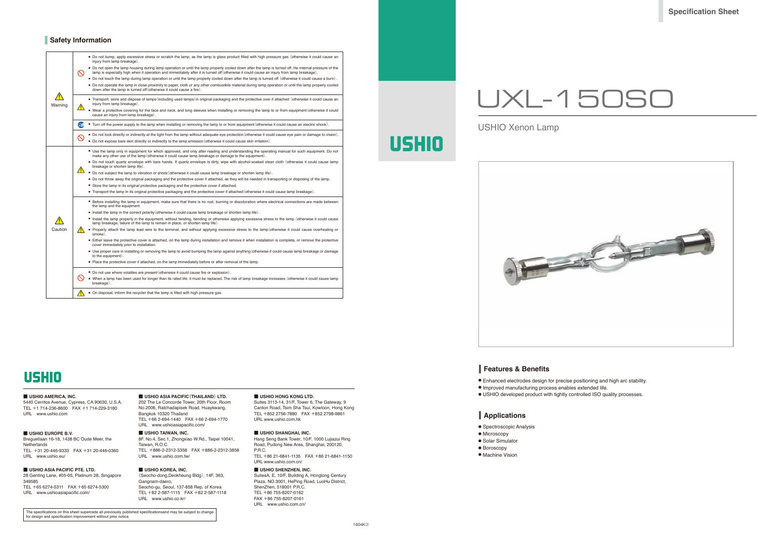**Features & Benefits**

- Enhanced electrodes design for precise positioning and high arc stability.
- Improved manufacturing process enables extended life.
- USHIO developed product with tightly controlled ISO quality processes.

## **Applications**

- Spectroscopic Analysis
- Microscopy
- Solar Simulator
- Boroscopy
- Machine Vision

## **Safety Information**

**Specification Sheet**

# UXL-150SO

USHIO Xenon Lamp

**USHIO** 



# **USHIO**

### ■ **USHIO AMERICA, INC.**

5440 Cerritos Avenue, Cypress, CA 90630, U.S.A. TEL +1 714-236-8600 FAX +1 714-229-3180 URL www.ushio.com

### ■ **USHIO EUROPE B.V.**

Breguetlaan 16-18, 1438 BC Oude Meer, the **Netherlands** TEL +31 20-446-9333 FAX +31 20-446-0360

URL www.ushio.eu/

### ■ **USHIO ASIA PACIFIC PTE. LTD.** 28 Genting Lane, #05-05, Platinum 28, Singapore 349585 TEL +65 6274-5311 FAX +65 6274-5300

URL www.ushioasiapacific.com/

### ■ **USHIO ASIA PACIFIC(THAILAND) LTD.**  202 The Le Concorde Tower, 20th Floor, Room No.2006, Ratchadapisek Road, Huaykwang, Bangkok 10320 Thailand TEL +66 2-694-1440 FAX +66 2-694-1770 URL www.ushioasiapacific.com/

■ **USHIO TAIWAN, INC.** 8F, No.4, Sec.1, Zhongxiao W.Rd., Taipei 10041, Taiwan, R.O.C. TEL +886-2-2312-3358 FAX +886-2-2312-3858 URL www.ushio.com.tw/

### ■ **USHIO KOREA, INC.**

(Seocho-dong,Deokheung Bldg), 14F, 363, Gangnam-daero Seocho-gu, Seoul, 137-858 Rep. of Korea TEL +82 2-587-1115 FAX +82 2-587-1118 URL www.ushio.co.kr/

### ■ **USHIO HONG KONG LTD.**

Suites 3113-14, 31/F, Tower 6, The Gateway, 9 Canton Road, Tsim Sha Tsui, Kowloon, Hong Kong TEL +852 2756-7880 FAX +852 2798-9861 URL www.ushio.com.hk

### ■ **USHIO SHANGHAI, INC.**

Hang Seng Bank Tower, 10/F, 1000 Lujiazui Ring Road, Pudong New Area, Shanghai, 200120, P.R.C.

TEL +86 21-6841-1135 FAX +86 21-6841-1150 URL www.ushio.com.cn/

### ■ **USHIO SHENZHEN, INC.**

SuitesA, E, 10/F, Building A, Honglong Century Plaza, NO.3001, HePing Road, LuoHu District, ShenZhen, 518001 P.R.C. TEL +86 755-8207-0162 FAX +86 755-8207-0161 URL www.ushio.com.cn/

| Warning | $\infty$                 | • Do not bump, apply excessive stress or scratch the lamp, as the lamp is glass product filled with high pressure gas (otherwise it could cause an<br>injury from lamp breakage).                                                                                                                  |
|---------|--------------------------|----------------------------------------------------------------------------------------------------------------------------------------------------------------------------------------------------------------------------------------------------------------------------------------------------|
|         |                          | • Do not open the lamp housing during lamp operation or until the lamp properly cooled down after the lamp is turned off. He internal pressure of the<br>lamp is especially high when it operation and immediately after it is turned off (otherwise it could cause an injury from lamp breakage). |
|         |                          | • Do not touch the lamp during lamp operation or until the lamp properly cooled down after the lamp is turned off (otherwise it could cause a burn).                                                                                                                                               |
|         |                          | • Do not operate the lamp in close proximity to paper, cloth or any other combustible material during lamp operation or until the lamp properly cooled<br>down after the lamp is turned off (otherwise it could cause a fire).                                                                     |
|         |                          | • Transport, store and dispose of lamps (including used lamps) in original packaging and the protective over if attached (otherwise it could cause an<br>injury from lamp breakage).                                                                                                               |
|         |                          | • Wear a protective covering for the face and neck, and long sleeves when installing or removing the lamp to or from equipment (otherwise it could<br>cause an injury from lamp breakage).                                                                                                         |
|         | Œ                        | . Turn off the power supply to the lamp when installing or removing the lamp to or from equipment (otherwise it could cause an electric shock).                                                                                                                                                    |
|         | $\mathbin{\vartriangle}$ | • Do not look directly or indirectly at the light from the lamp without adequate eye protection (otherwise it could cause eye pain or damage to vision).<br>• Do not expose bare skin directly or indirectly to the lamp emission (otherwise it could cause skin irritation).                      |
|         |                          | • Use the lamp only in equipment for which approved, and only after reading and understanding the operating manual for such equipment. Do not<br>make any other use of the lamp (otherwise it could cause lamp breakage or damage to the equipment).                                               |
|         |                          | • Do not touch quartz envelope with bare hands. If quartz envelope is dirty, wipe with alcohol-soaked clean cloth (otherwise it could cause lamp<br>breakage or shorten lamp life).                                                                                                                |
|         |                          | • Do not subject the lamp to vibration or shock (otherwise it could cause lamp breakage or shorten lamp life).                                                                                                                                                                                     |
|         |                          | • Do not throw away the original packaging and the protective cover if attached, as they will be needed in transporting or disposing of the lamp.                                                                                                                                                  |
|         |                          | • Store the lamp in its original protective packaging and the protective cover if attached.                                                                                                                                                                                                        |
|         |                          | • Transport the lamp In its original protective packaging and the protective cover if attached (otherwise it could cause lamp breakage).                                                                                                                                                           |
|         |                          | • Before installing the lamp in equipment, make sure that there is no rust, burning or discoloration where electrical connections are made between<br>the lamp and the equipment.                                                                                                                  |
|         |                          | $\bullet$ Install the lamp in the correct polarity (otherwise it could cause lamp breakage or shorten lamp life).                                                                                                                                                                                  |
|         |                          | • Install the lamp properly in the equipment, without twisting, bending or otherwise applying excessive stress to the lamp (otherwise it could cause<br>lamp breakage, failure of the lamp to remain in place, or shorten lamp life).                                                              |
| Caution |                          | • Properly attach the lamp lead wire to the terminal, and without applying excessive stress to the lamp (otherwise it could cause overheating or<br>smoke).                                                                                                                                        |
|         |                          | • Either leave the protective cover is attached, on the lamp during installation and remove it when installation is complete, or remove the protective<br>cover immediately prior to installation.                                                                                                 |
|         |                          | • Use proper care in installing or removing the lamp to avoid bumping the lamp against anything (otherwise it could cause lamp breakage or damage<br>to the equipment).                                                                                                                            |
|         |                          | • Place the protective cover if attached, on the lamp immediately before or after removal of the lamp.                                                                                                                                                                                             |
|         |                          | • Do not use where volatiles are present (otherwise it could cause fire or explosion).                                                                                                                                                                                                             |
|         |                          | • When a lamp has been used for longer than its rated life, it must be replaced. The risk of lamp breakage increases (otherwise it could cause lamp<br>breakage).                                                                                                                                  |
|         |                          | • On disposal, inform the recycler that the lamp is filled with high pressure gas.                                                                                                                                                                                                                 |